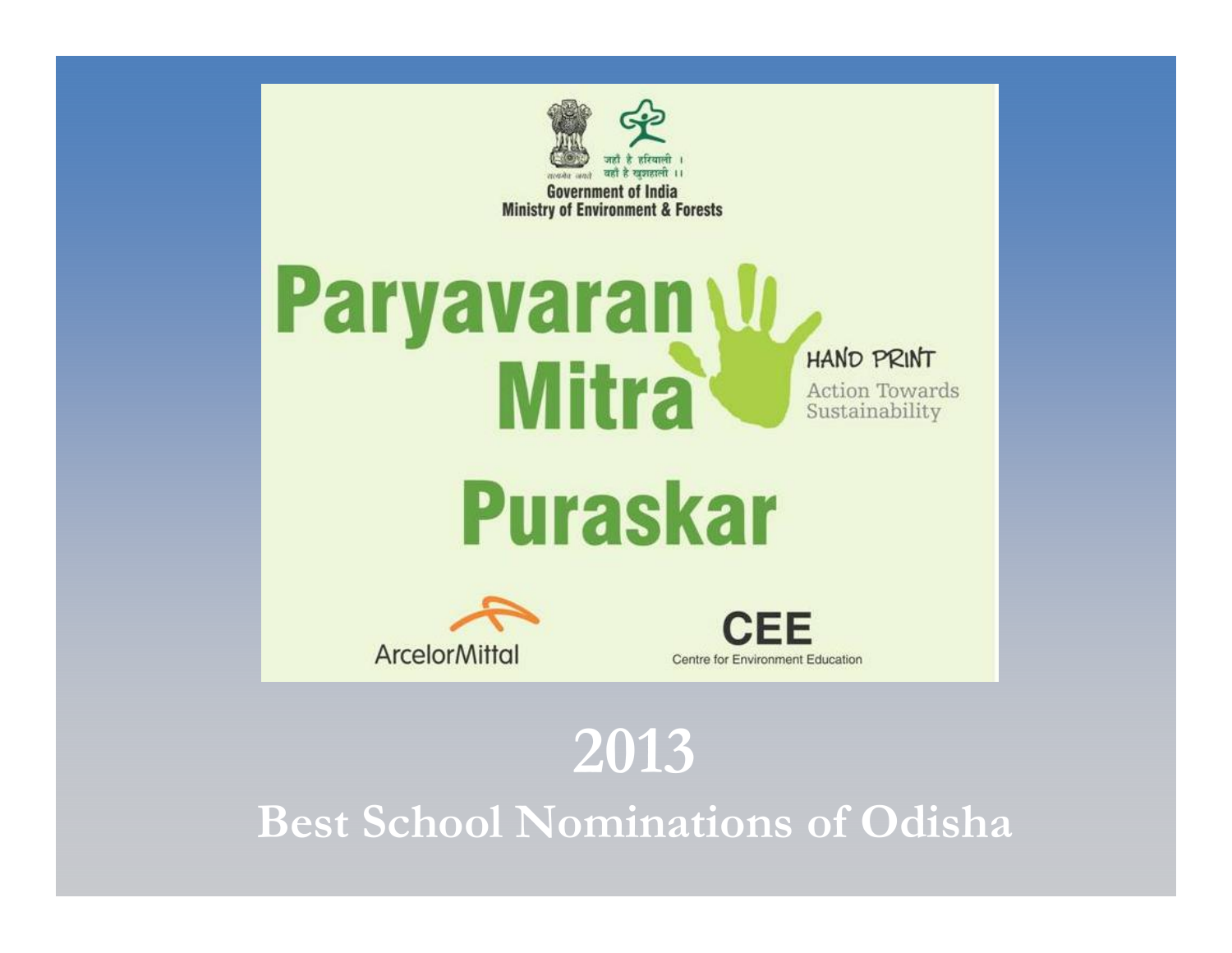

### **2013**

**Best School Nominations of Odisha**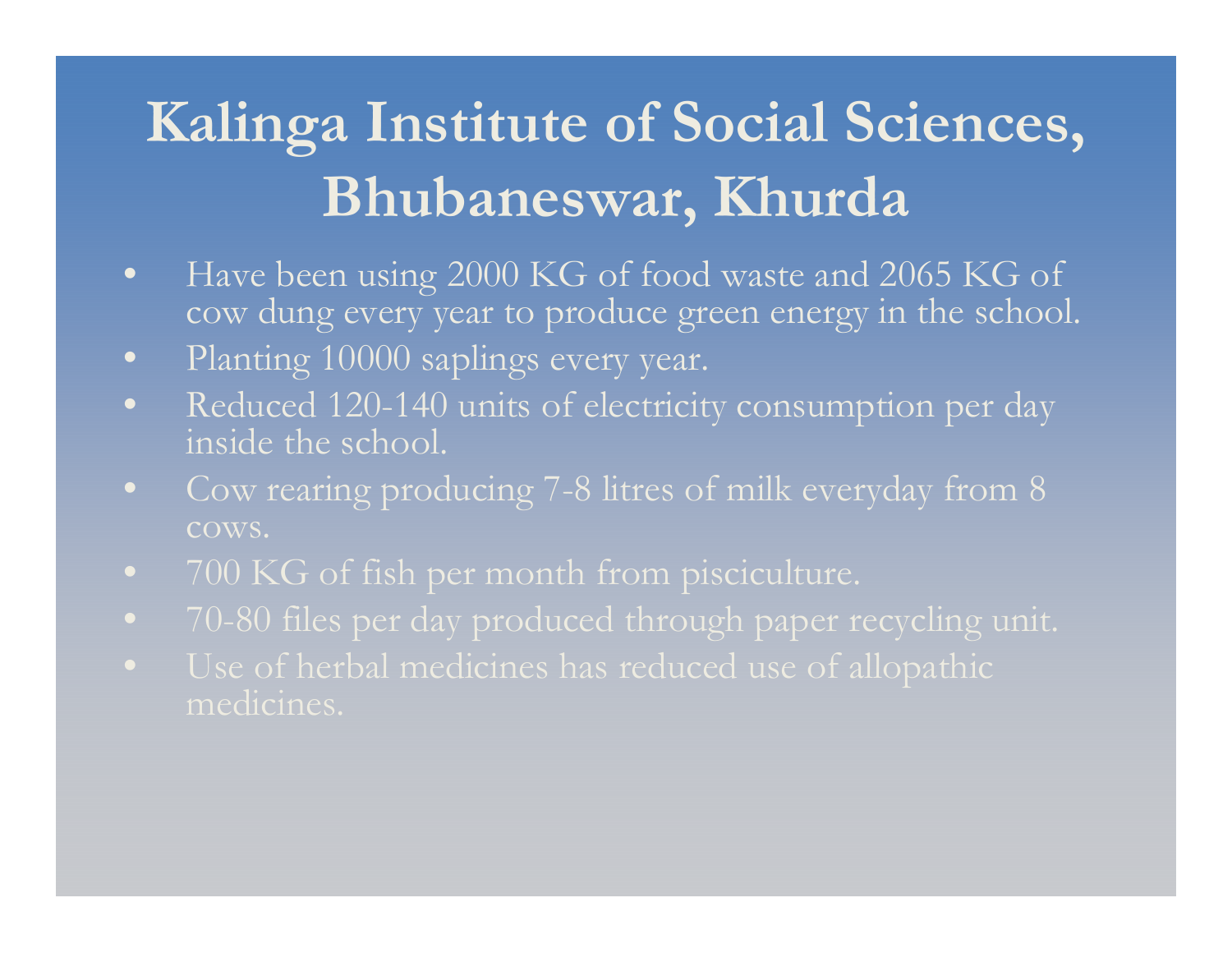# **Kalinga Institute of Social Sciences, Bhubaneswar, Khurda**

- • Have been using 2000 KG of food waste and 2065 KG of cow dung every year to produce green energy in the school.
- $\bullet$ Planting 10000 saplings every year.
- • Reduced 120-140 units of electricity consumption per day inside the school.
- Cow rearing producing 7-8 litres of milk everyday from 8 cows.
- 700 KG of fish per month from pisciculture.
- 
-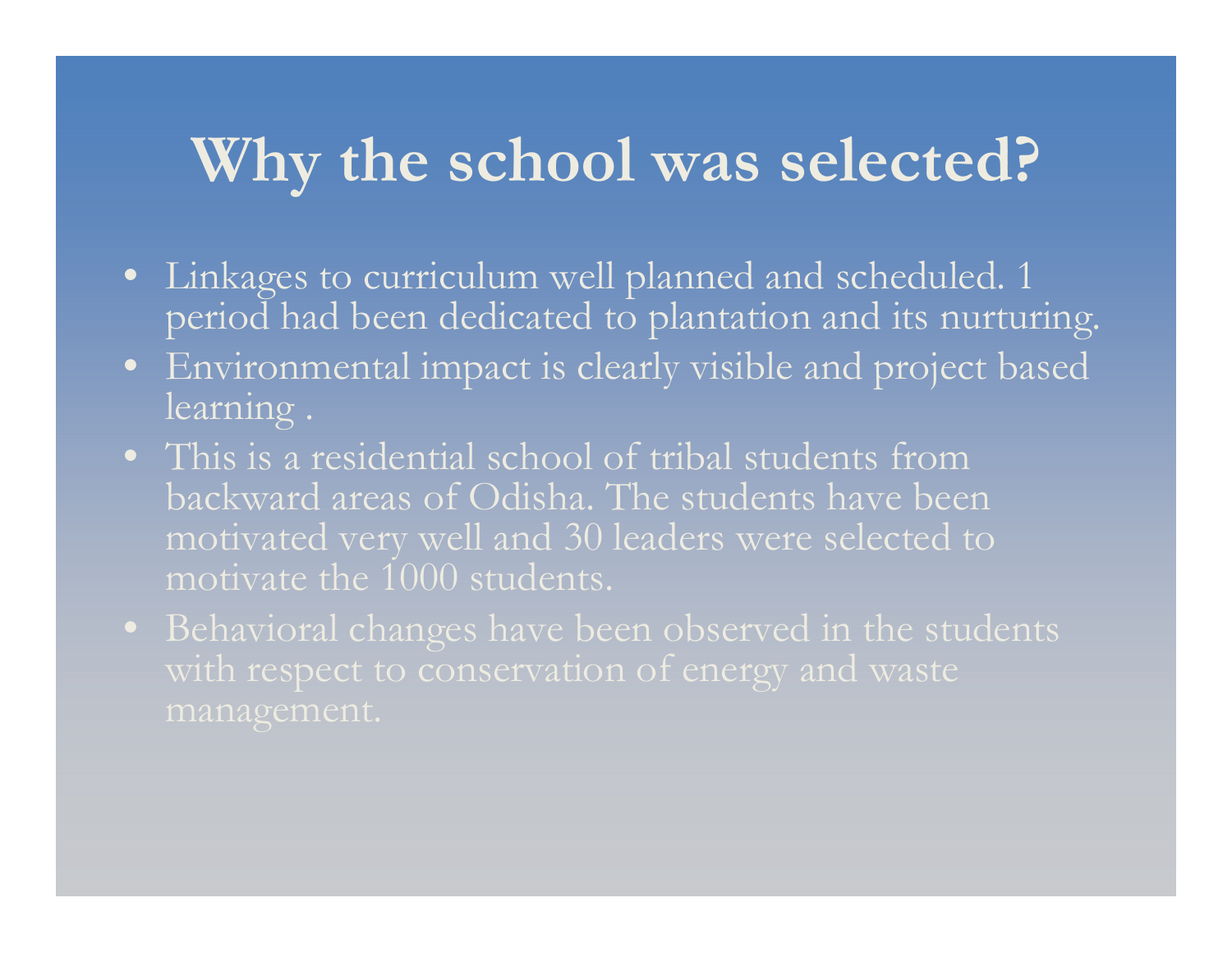- Linkages to curriculum well planned and scheduled. 1 period had been dedicated to plantation and its nurturing.
- Environmental impact is clearly visible and project based learning .
- This is a residential school of tribal students from backward areas of Odisha. The students have been motivated very well and 30 leaders were selected to motivate the 1000 students.
- Behavioral changes have been observed in the students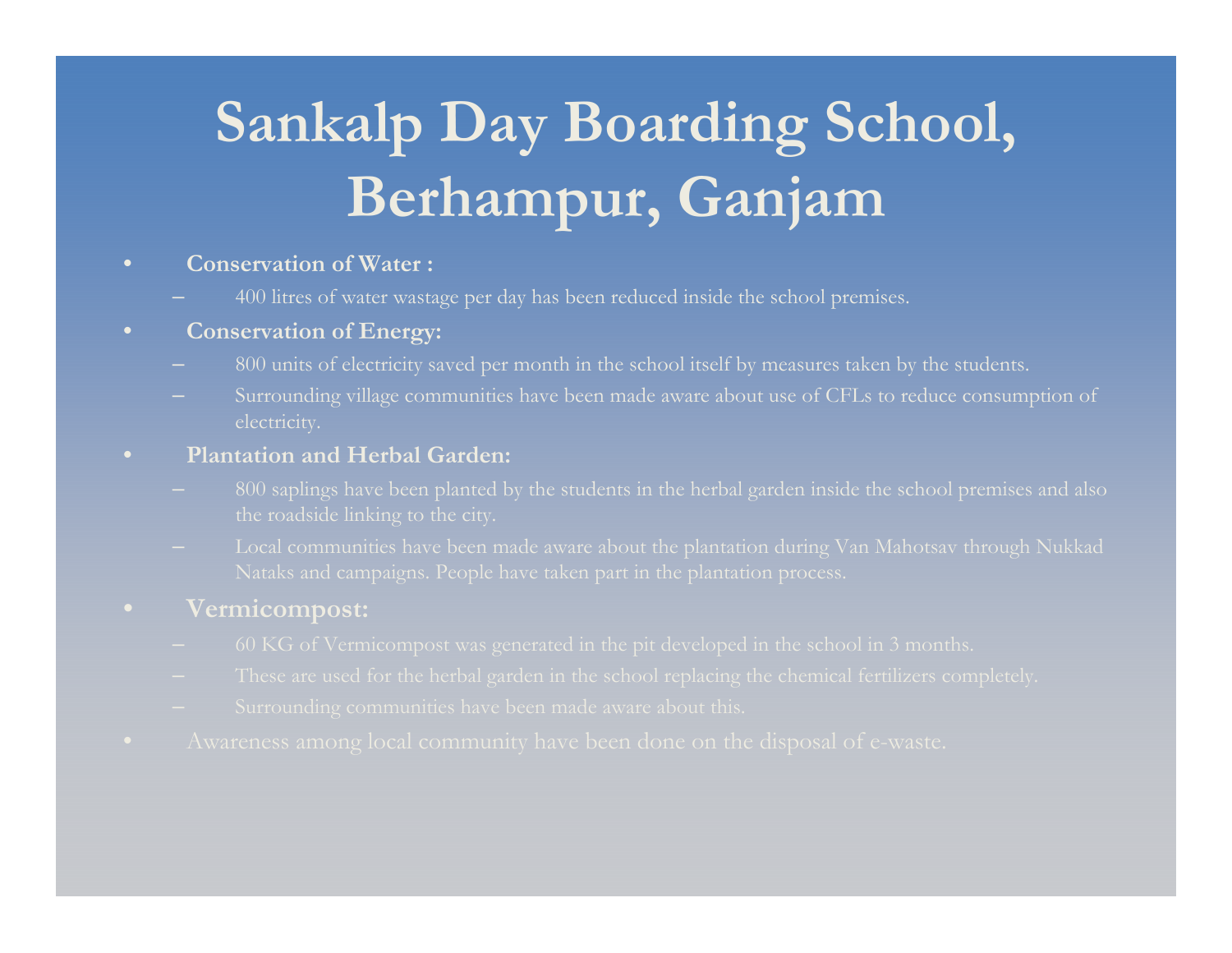# **Sankalp Day Boarding School, Berhampur, Ganjam**

#### •**Conservation of Water :**

400 litres of water wastage per day has been reduced inside the school premises.

#### **Conservation of Energy:**

- 800 units of electricity saved per month in the school itself by measures taken by the students.
- Surrounding village communities have been made aware about use of CFLs to reduce consumption of

#### **Plantation and Herbal Garden:**

- 
- 

#### **Vermicompost:**

- 
- 
- 
-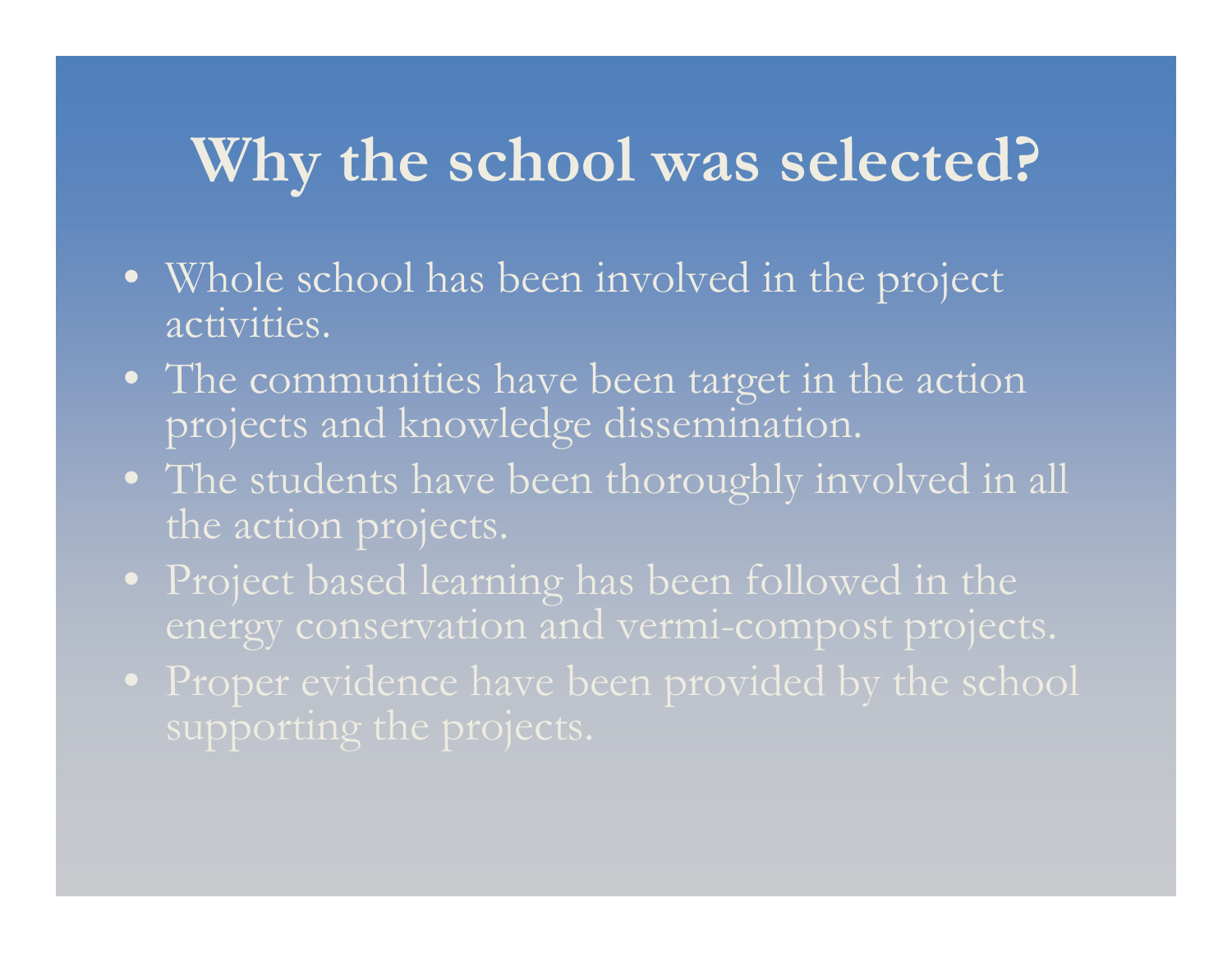- Whole school has been involved in the project activities.
- The communities have been target in the action projects and knowledge dissemination.
- The students have been thoroughly involved in all the action projects.
- Project based learning has been followed in the
-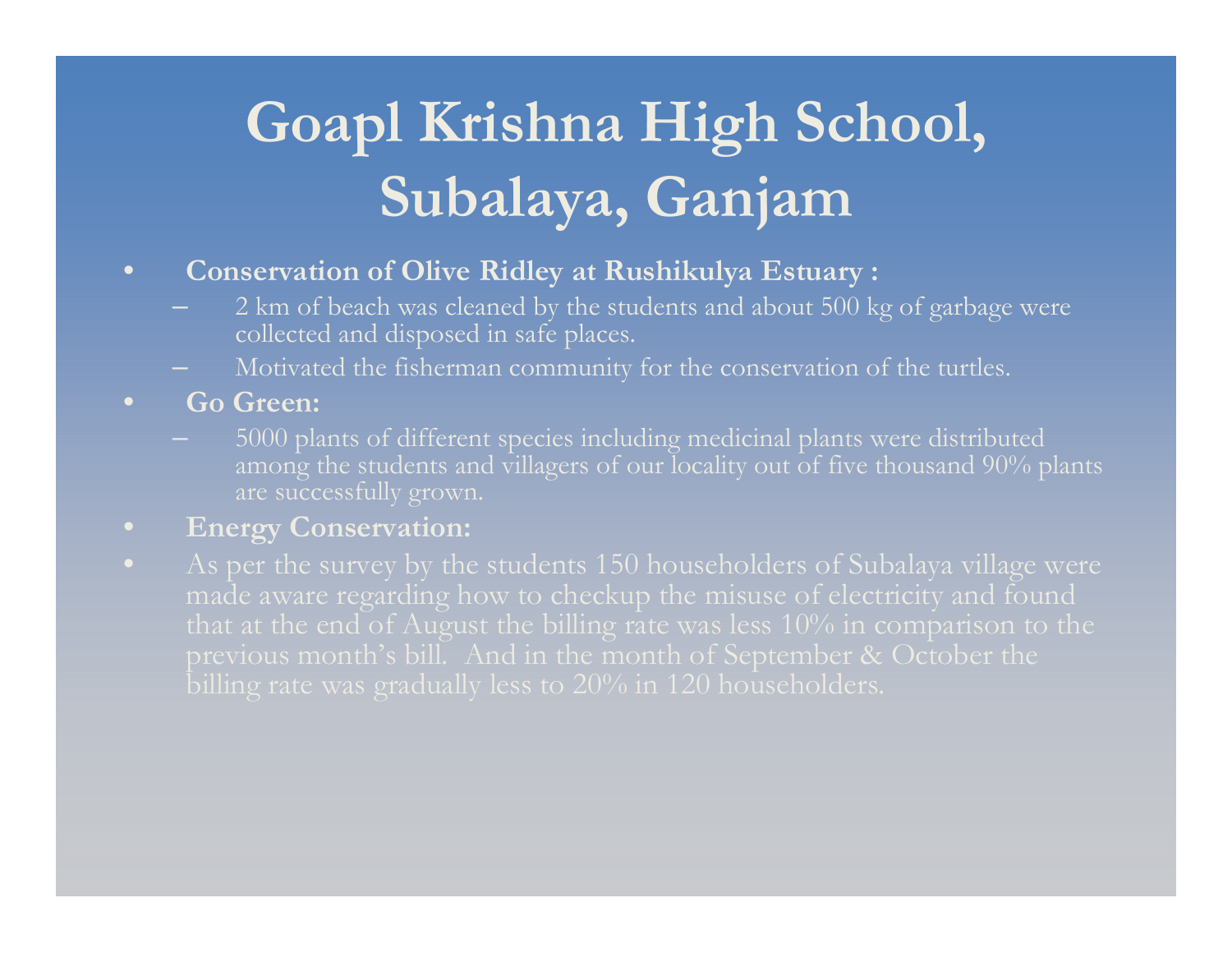# **Goapl Krishna High School, Subalaya, Ganjam**

#### •**Conservation of Olive Ridley at Rushikulya Estuary :**

- 2 km of beach was cleaned by the students and about 500 kg of garbage were collected and disposed in safe places.
- Motivated the fisherman community for the conservation of the turtles.

#### **Go Green:**

 5000 plants of different species including medicinal plants were distributed among the students and villagers of our locality out of five thousand 90% plants are successfully grown.

#### **Energy Conservation:**

As per the survey by the students 150 householders of Subalaya village were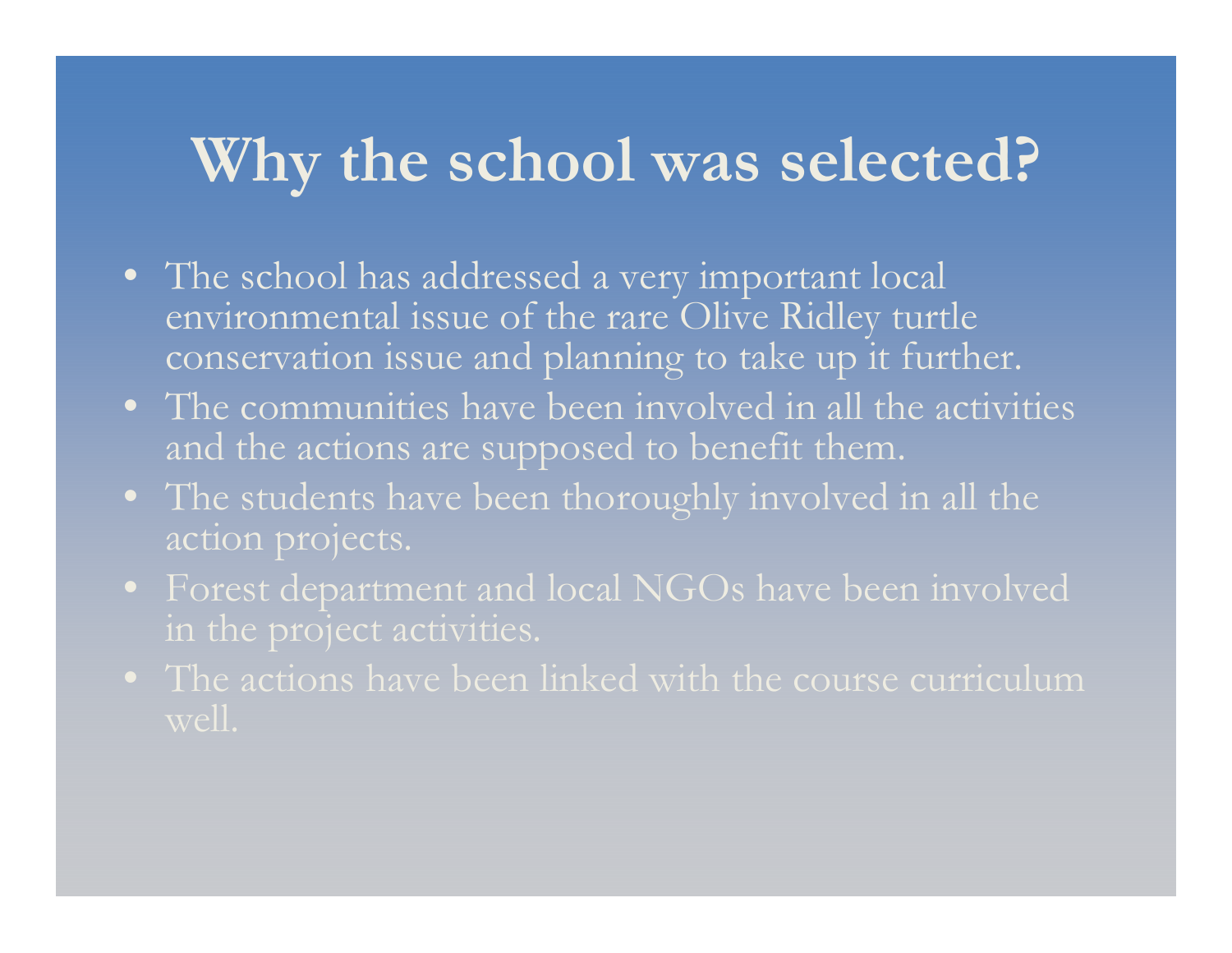- The school has addressed a very important local environmental issue of the rare Olive Ridley turtle conservation issue and planning to take up it further.
- The communities have been involved in all the activities and the actions are supposed to benefit them.
- The students have been thoroughly involved in all the action projects.
- 
- The actions have been linked with the course curriculum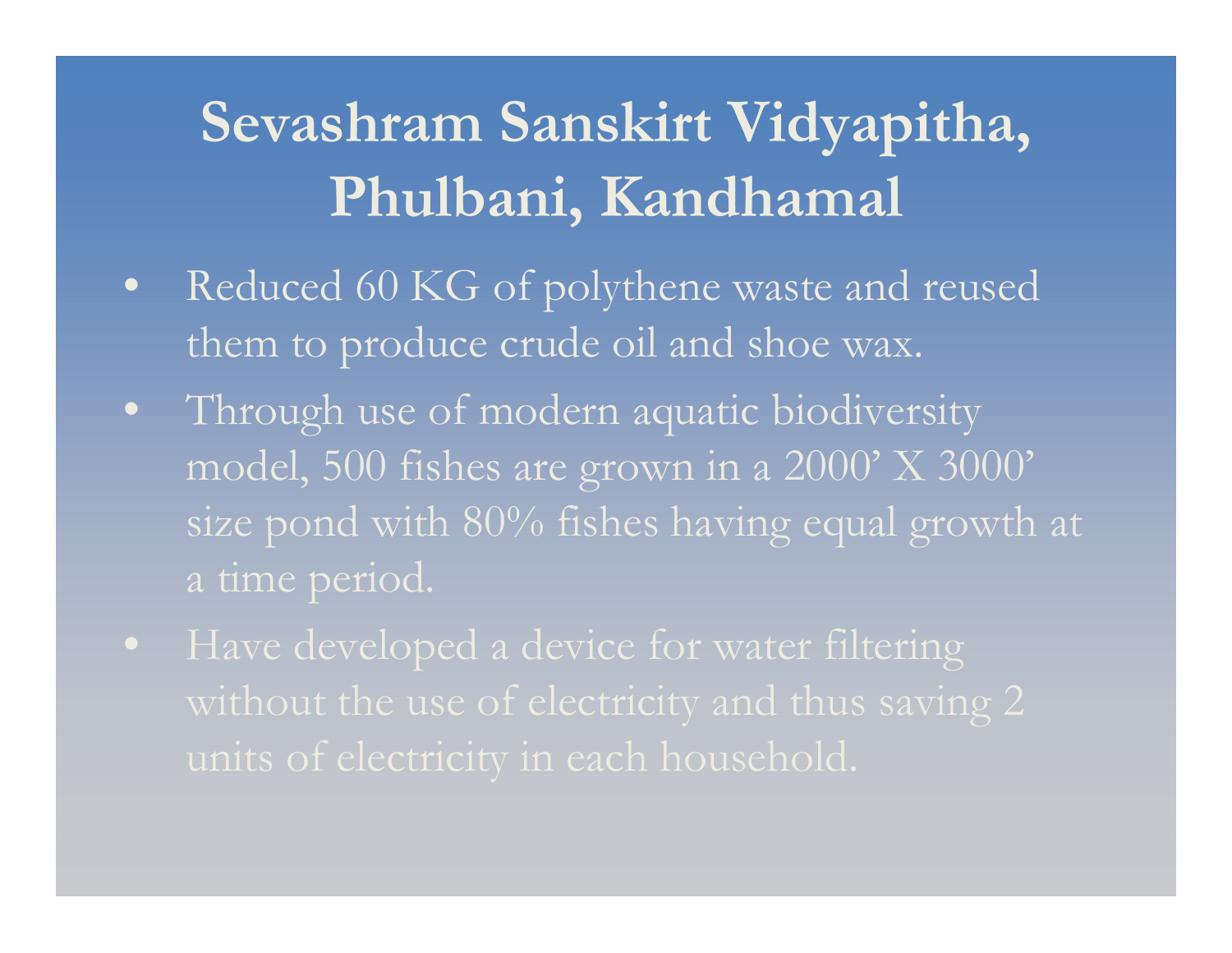# **Sevashram Sanskirt Vidyapitha, Phulbani, Kandhamal**

- • Reduced 60 KG of polythene waste and reused them to produce crude oil and shoe wax.
- • Through use of modern aquatic biodiversity model, 500 fishes are grown in a 2000' X 3000' size pond with 80% fishes having equal growth at a time period.
-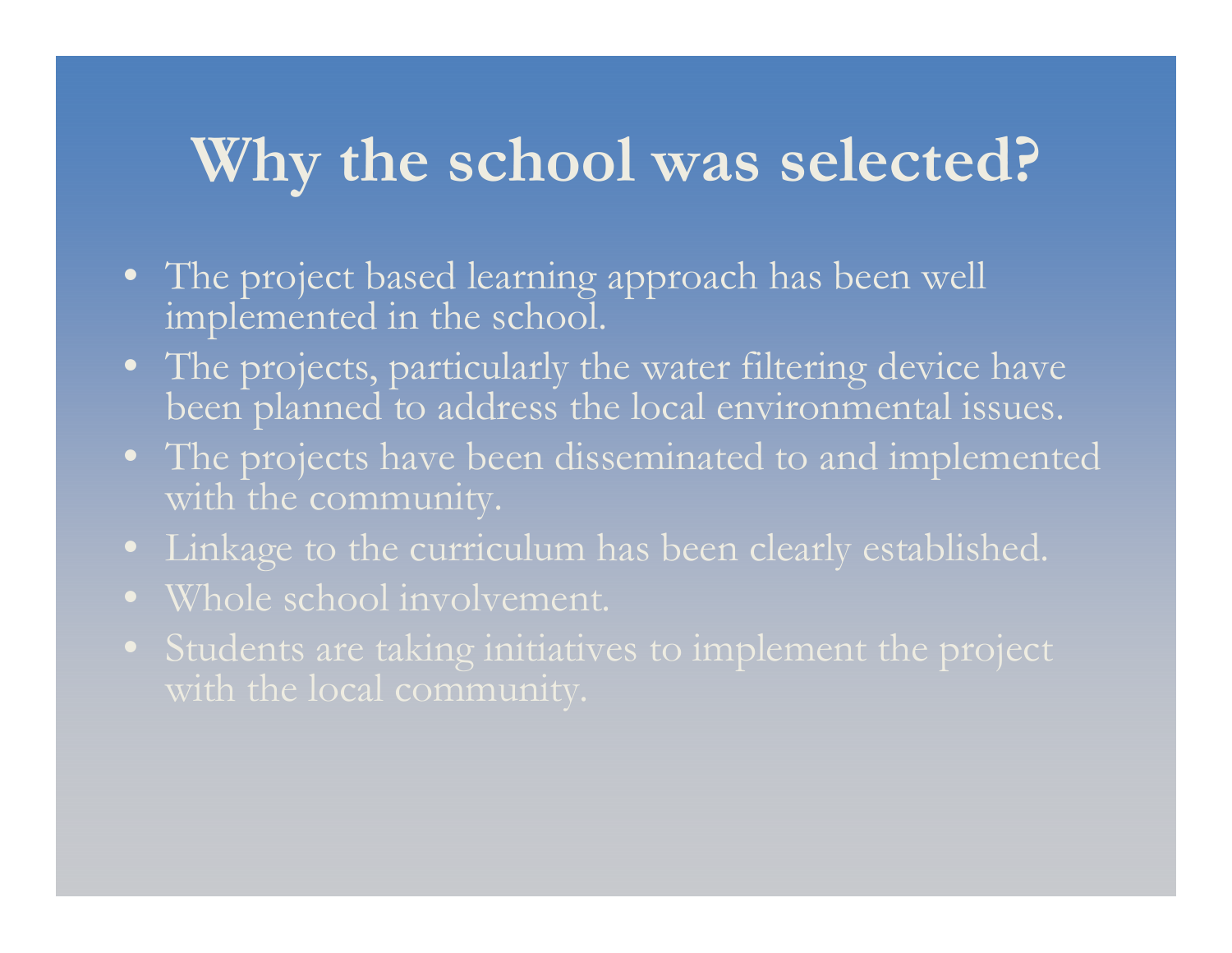- The project based learning approach has been well implemented in the school.
- The projects, particularly the water filtering device have been planned to address the local environmental issues.
- The projects have been disseminated to and implemented with the community.
- Linkage to the curriculum has been clearly established.
- Whole school involvement.
-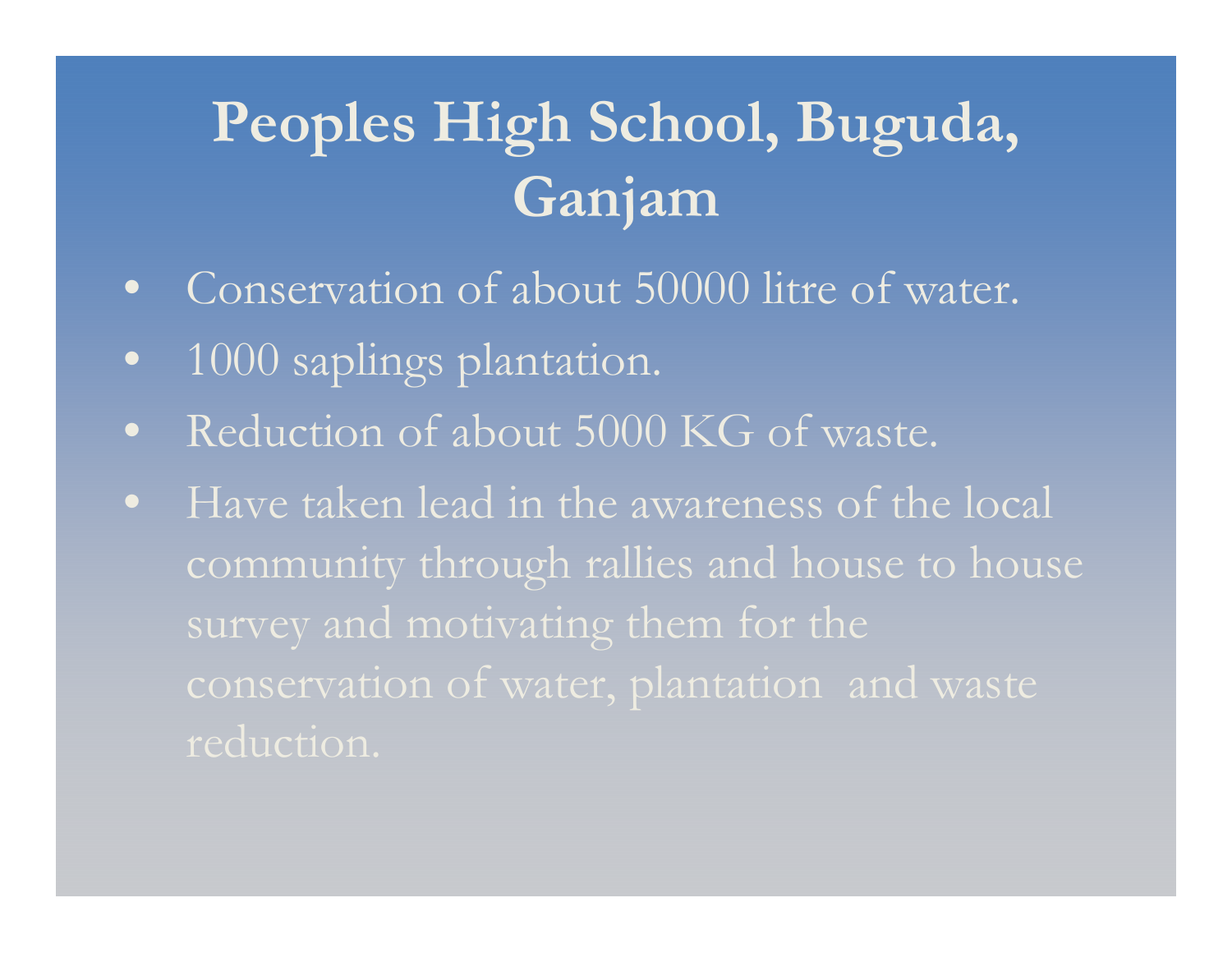# **Peoples High School, Buguda, Ganjam**

- •Conservation of about 50000 litre of water.
- $\bullet$ 1000 saplings plantation.
- $\bullet$ Reduction of about 5000 KG of waste.
- • Have taken lead in the awareness of the local community through rallies and house to house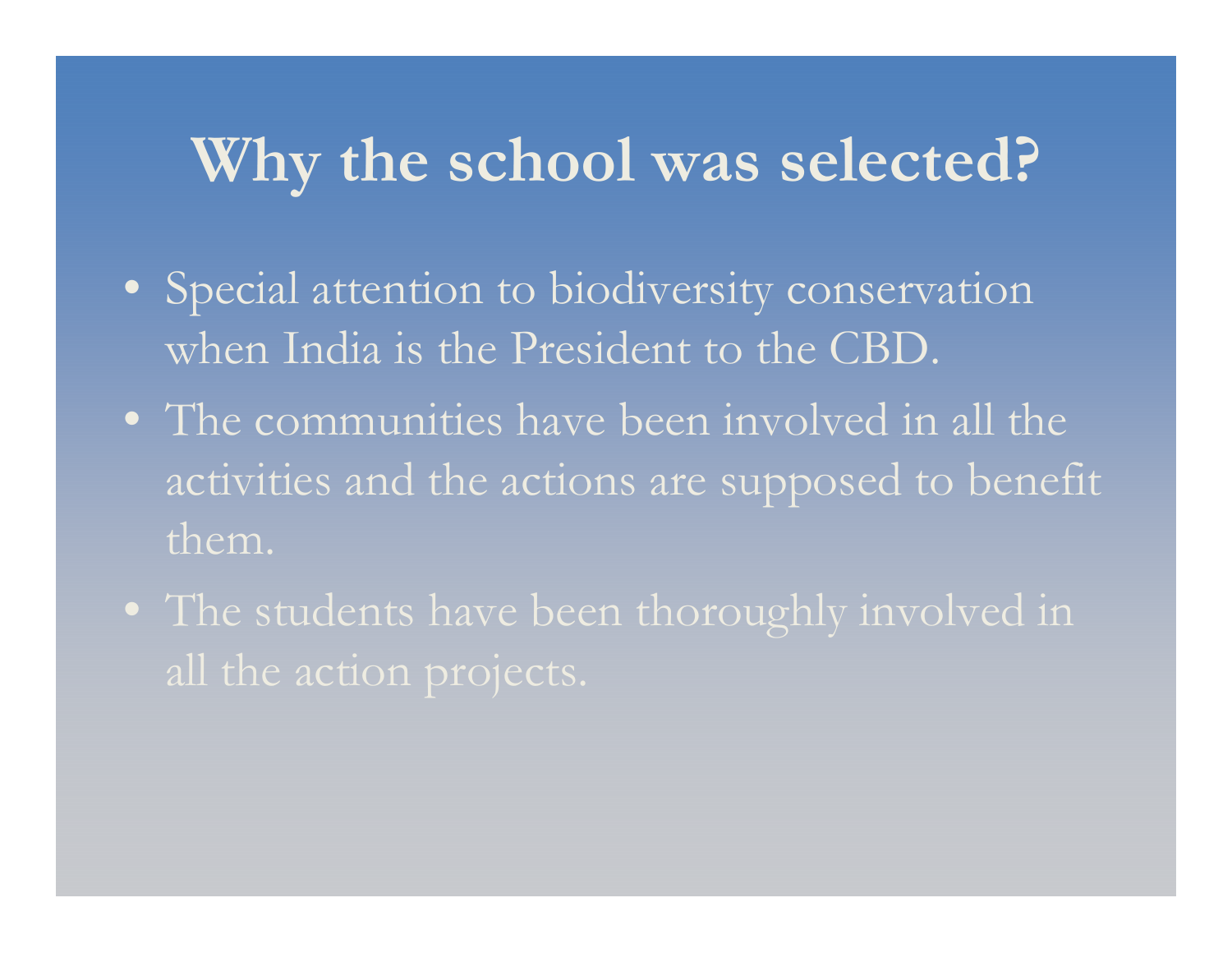- Special attention to biodiversity conservation when India is the President to the CBD.
- The communities have been involved in all the activities and the actions are supposed to benefit them.
- The students have been thoroughly involved in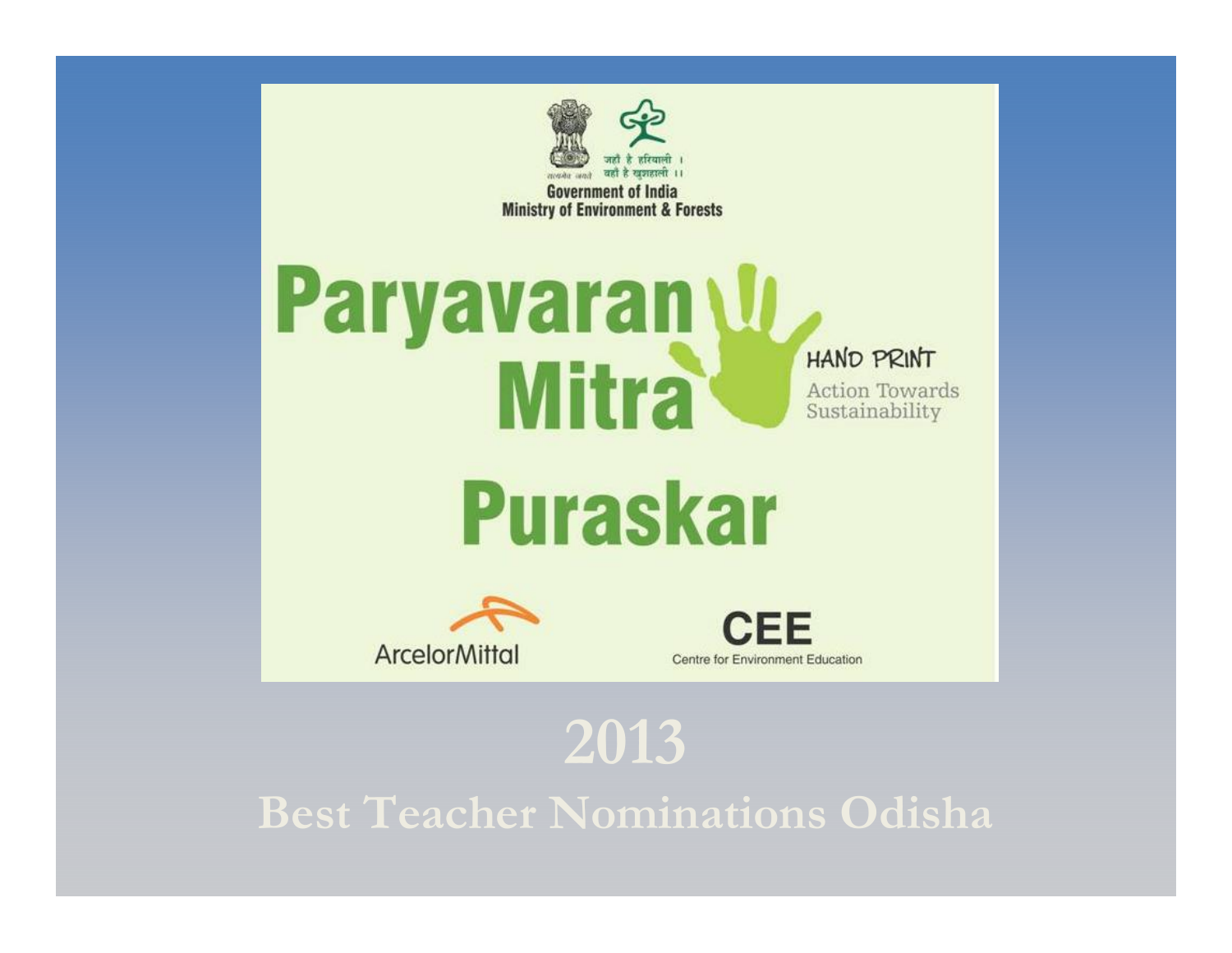

**2013 Best Teacher Nominations Odisha**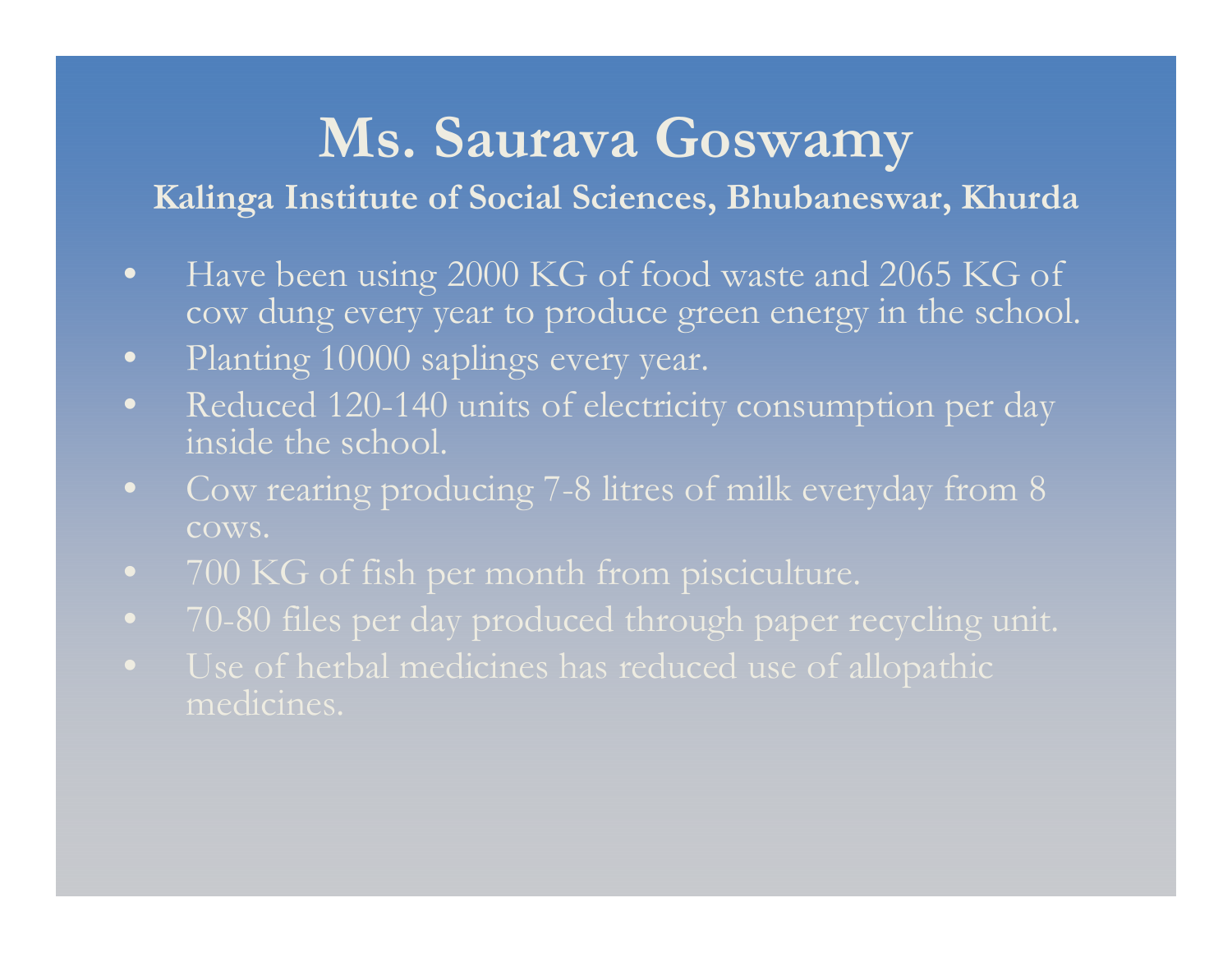### **Ms. Saurava Goswamy**

**Kalinga Institute of Social Sciences, Bhubaneswar, Khurda**

- • Have been using 2000 KG of food waste and 2065 KG of cow dung every year to produce green energy in the school.
- $\bullet$ Planting 10000 saplings every year.
- • Reduced 120-140 units of electricity consumption per day inside the school.
- Cow rearing producing 7-8 litres of milk everyday from 8 cows.
- 700 KG of fish per month from pisciculture.
- 
-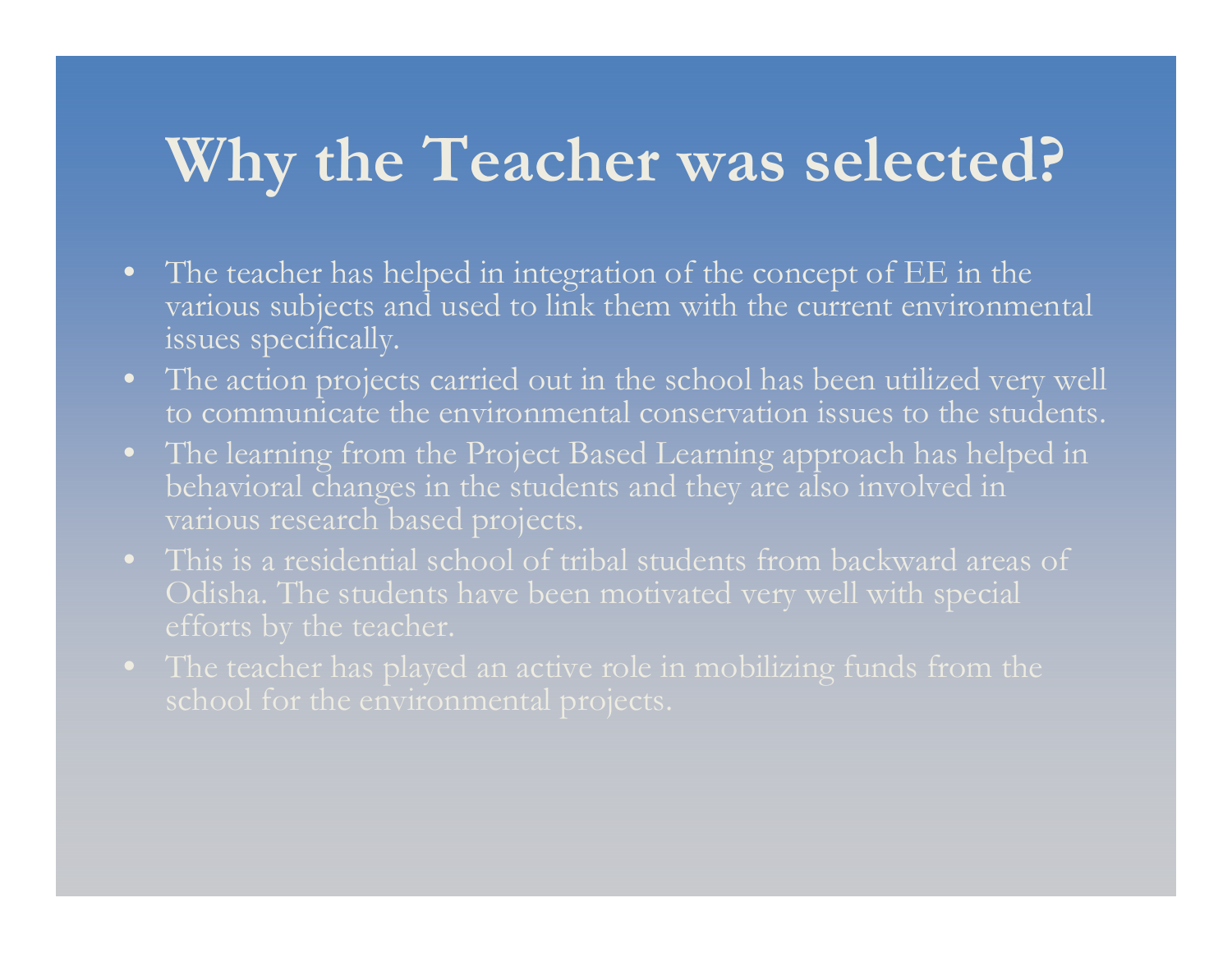# **Why the Teacher was selected?**

- • The teacher has helped in integration of the concept of EE in the various subjects and used to link them with the current environmental issues specifically.
- $\bullet$  The action projects carried out in the school has been utilized very well to communicate the environmental conservation issues to the students.
- The learning from the Project Based Learning approach has helped in behavioral changes in the students and they are also involved in various research based projects.
- This is a residential school of tribal students from backward areas of
-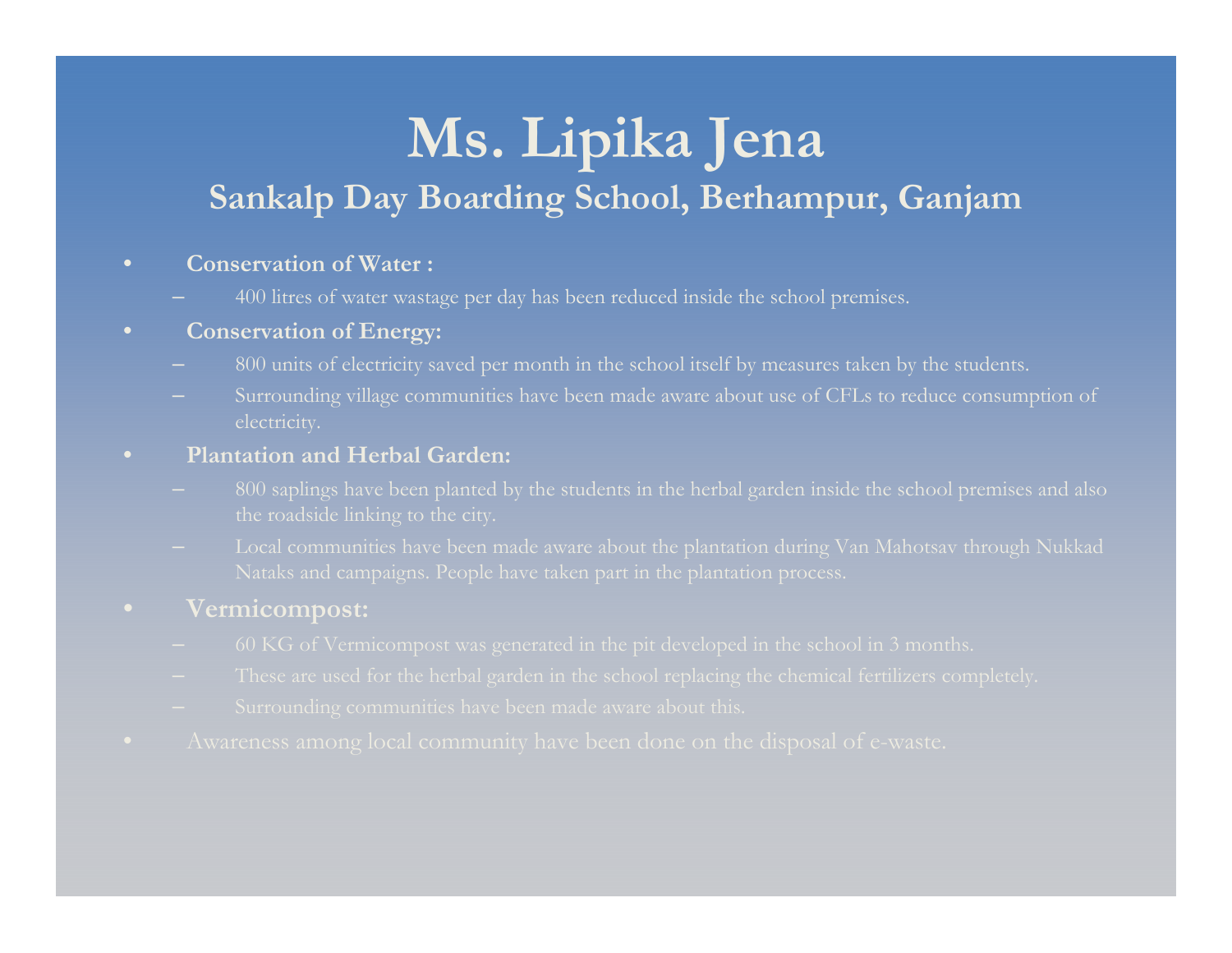### **Ms. Lipika Jena Sankalp Day Boarding School, Berhampur, Ganjam**

#### •**Conservation of Water :**

400 litres of water wastage per day has been reduced inside the school premises.

#### **Conservation of Energy:**

- 800 units of electricity saved per month in the school itself by measures taken by the students.
- Surrounding village communities have been made aware about use of CFLs to reduce consumption of

#### **Plantation and Herbal Garden:**

- 
- 

#### **Vermicompost:**

- 
- 
- 
-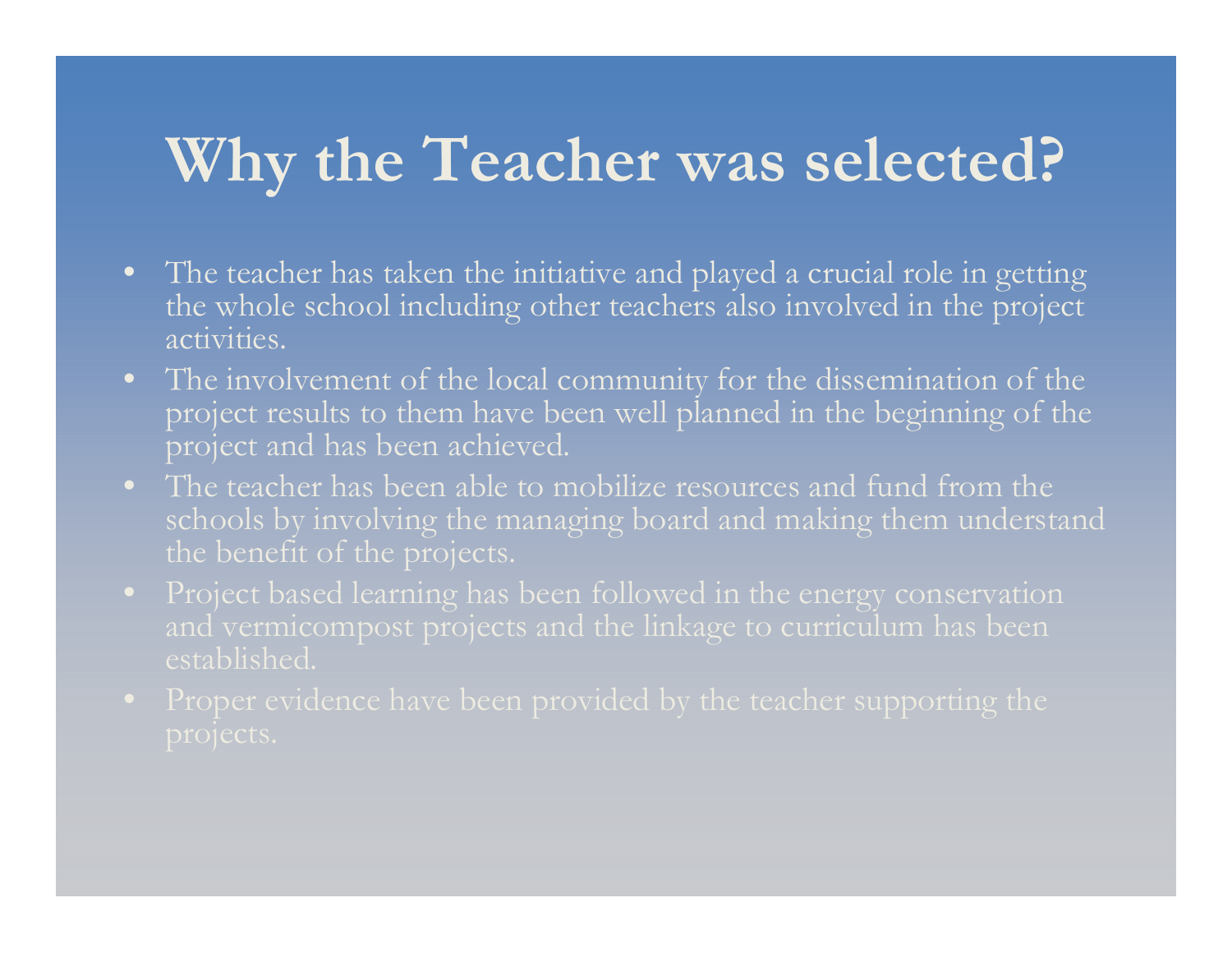# **Why the Teacher was selected?**

- •The teacher has taken the initiative and played a crucial role in getting the whole school including other teachers also involved in the project activities.
- • The involvement of the local community for the dissemination of the project results to them have been well planned in the beginning of the project and has been achieved.
- The teacher has been able to mobilize resources and fund from the schools by involving the managing board and making them understand
- 
-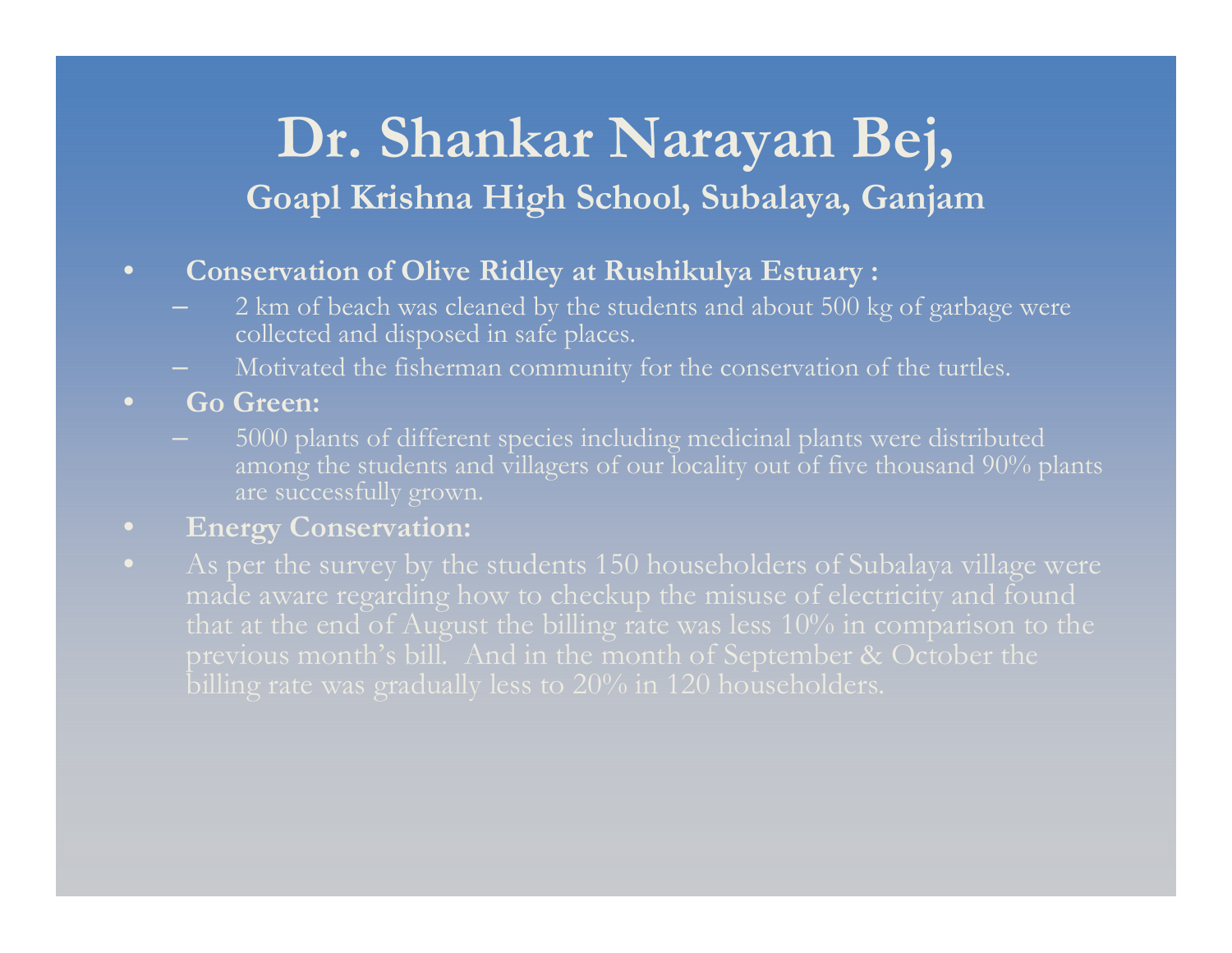### **Dr. Shankar Narayan Bej, Goapl Krishna High School, Subalaya, Ganjam**

#### •**Conservation of Olive Ridley at Rushikulya Estuary :**

- 2 km of beach was cleaned by the students and about 500 kg of garbage were collected and disposed in safe places.
- Motivated the fisherman community for the conservation of the turtles.

#### **Go Green:**

 5000 plants of different species including medicinal plants were distributed among the students and villagers of our locality out of five thousand 90% plants are successfully grown.

#### **Energy Conservation:**

As per the survey by the students 150 householders of Subalaya village were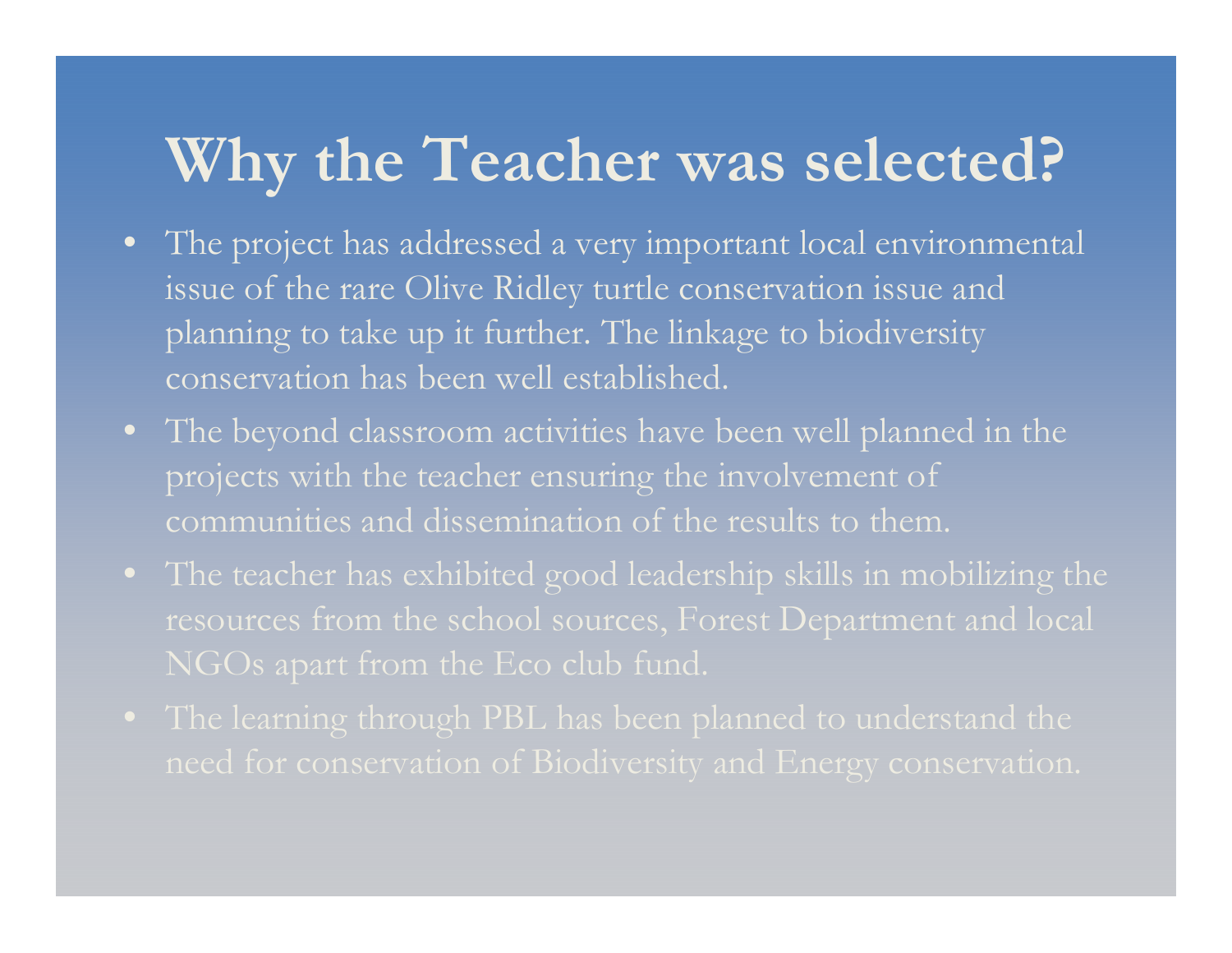## **Why the Teacher was selected?**

- The project has addressed a very important local environmental issue of the rare Olive Ridley turtle conservation issue and planning to take up it further. The linkage to biodiversity conservation has been well established.
- The beyond classroom activities have been well planned in the projects with the teacher ensuring the involvement of communities and dissemination of the results to them.
- The teacher has exhibited good leadership skills in mobilizing the
-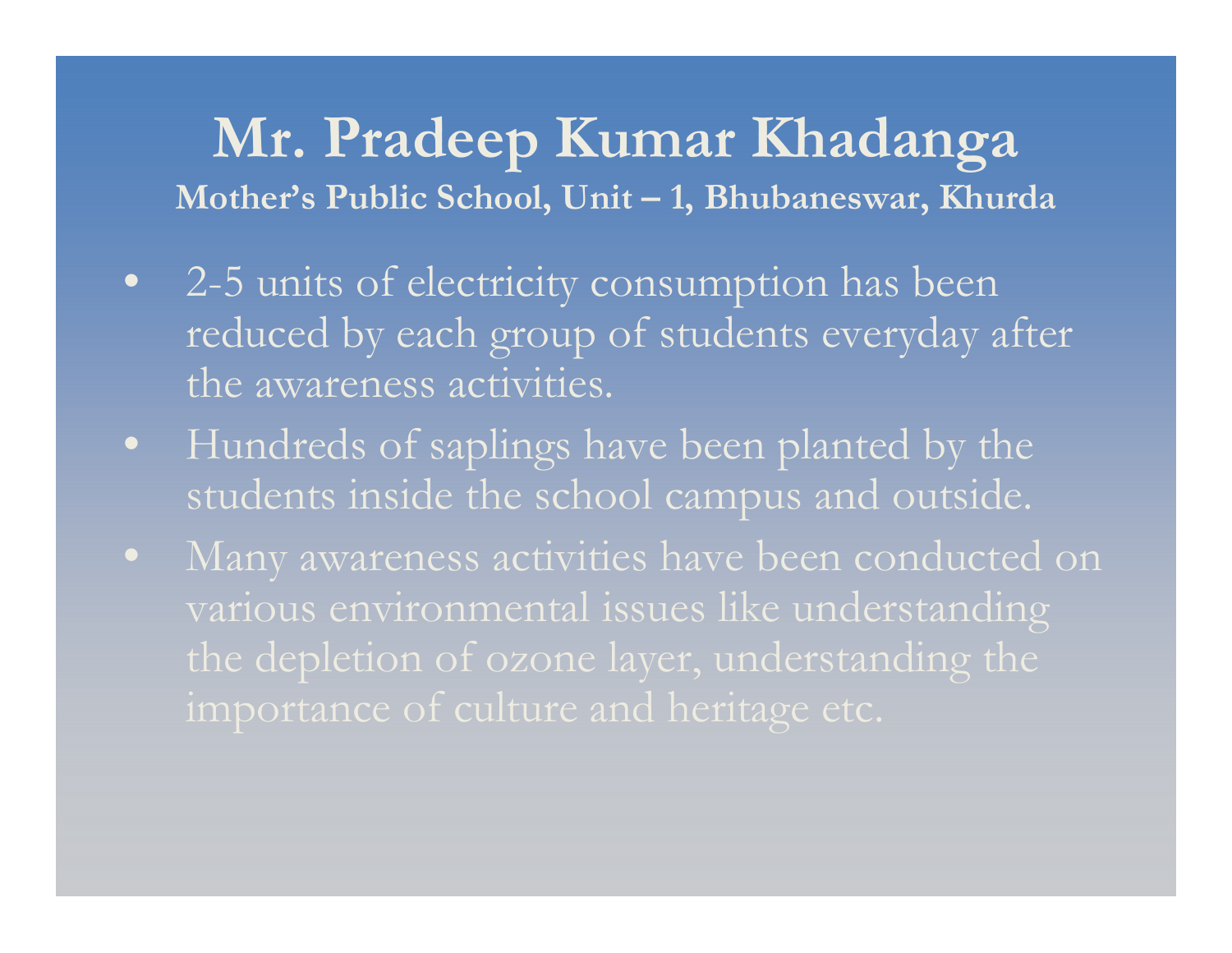### **Mr. Pradeep Kumar Khadanga Mother's Public School, Unit – 1, Bhubaneswar, Khurda**

- •2-5 units of electricity consumption has been reduced by each group of students everyday after the awareness activities.
- • Hundreds of saplings have been planted by the students inside the school campus and outside.
- • Many awareness activities have been conducted on various environmental issues like understanding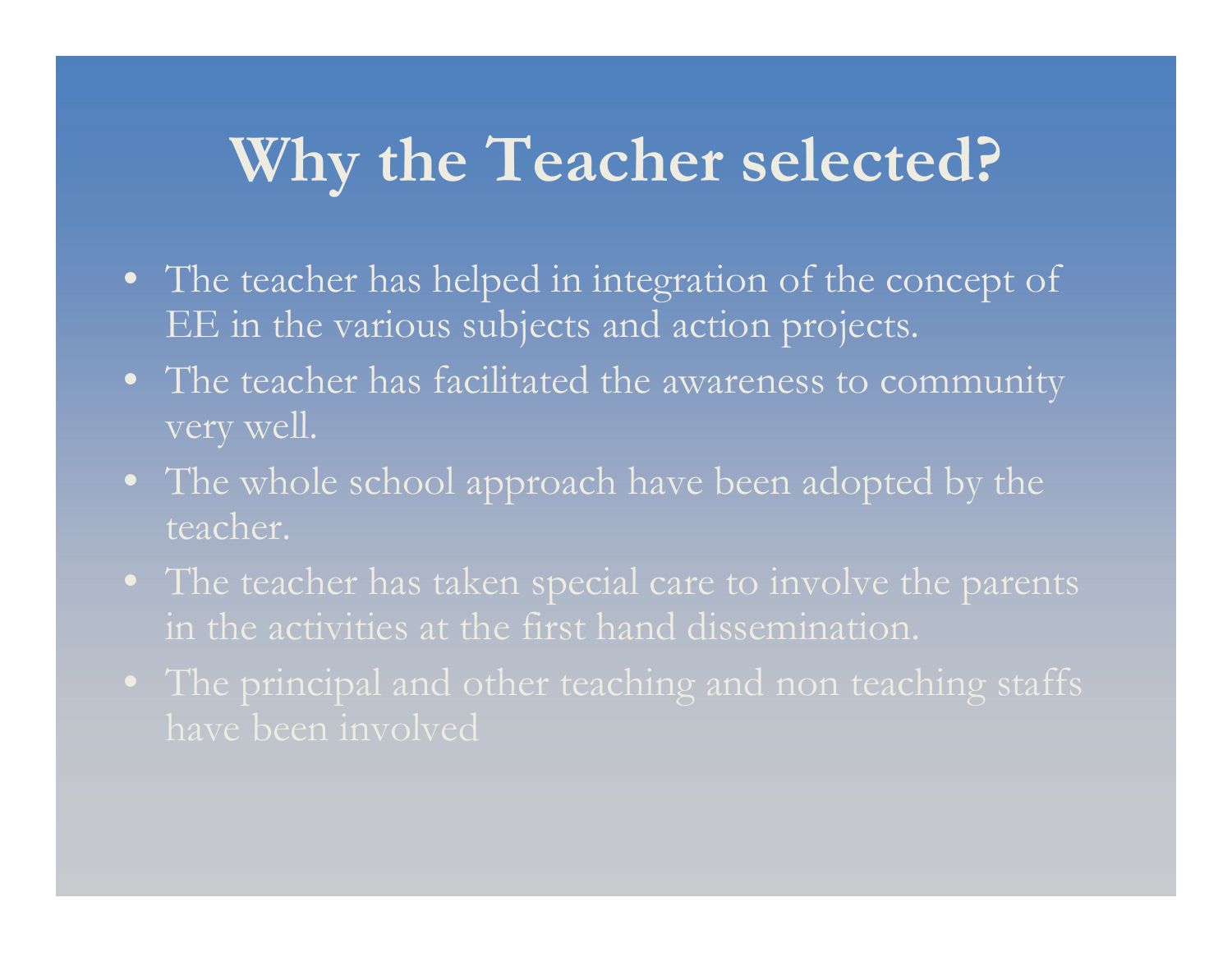# **Why the Teacher selected?**

- The teacher has helped in integration of the concept of EE in the various subjects and action projects.
- The teacher has facilitated the awareness to community very well.
- The whole school approach have been adopted by the teacher.
- The teacher has taken special care to involve the parents
- The principal and other teaching and non teaching staffs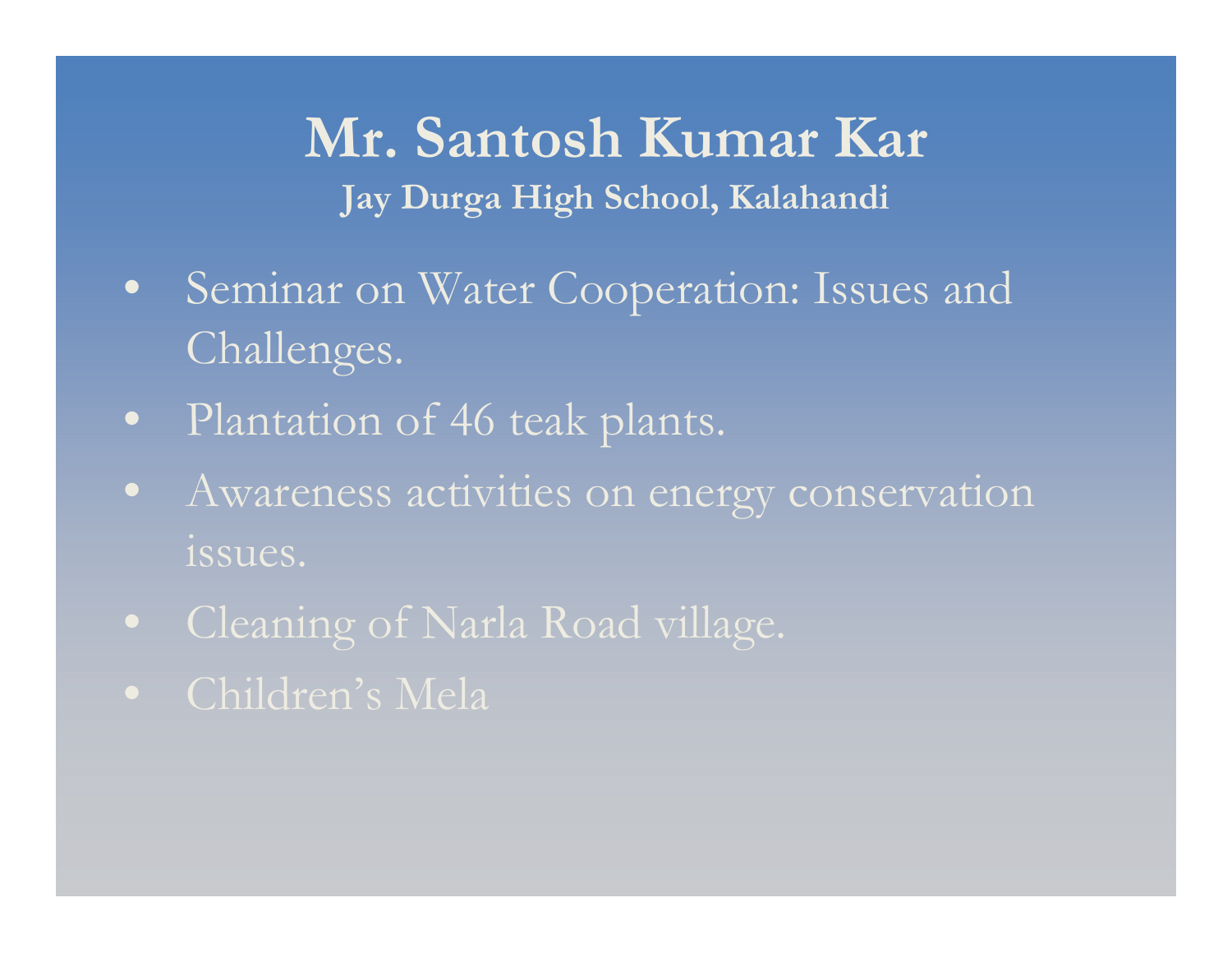### **Mr. Santosh Kumar Kar Jay Durga High School, Kalahandi**

- •Seminar on Water Cooperation: Issues and Challenges.
- •Plantation of 46 teak plants.
- $\bullet$  Awareness activities on energy conservation issues.
- $\bullet$ Cleaning of Narla Road village.
- Children's Mela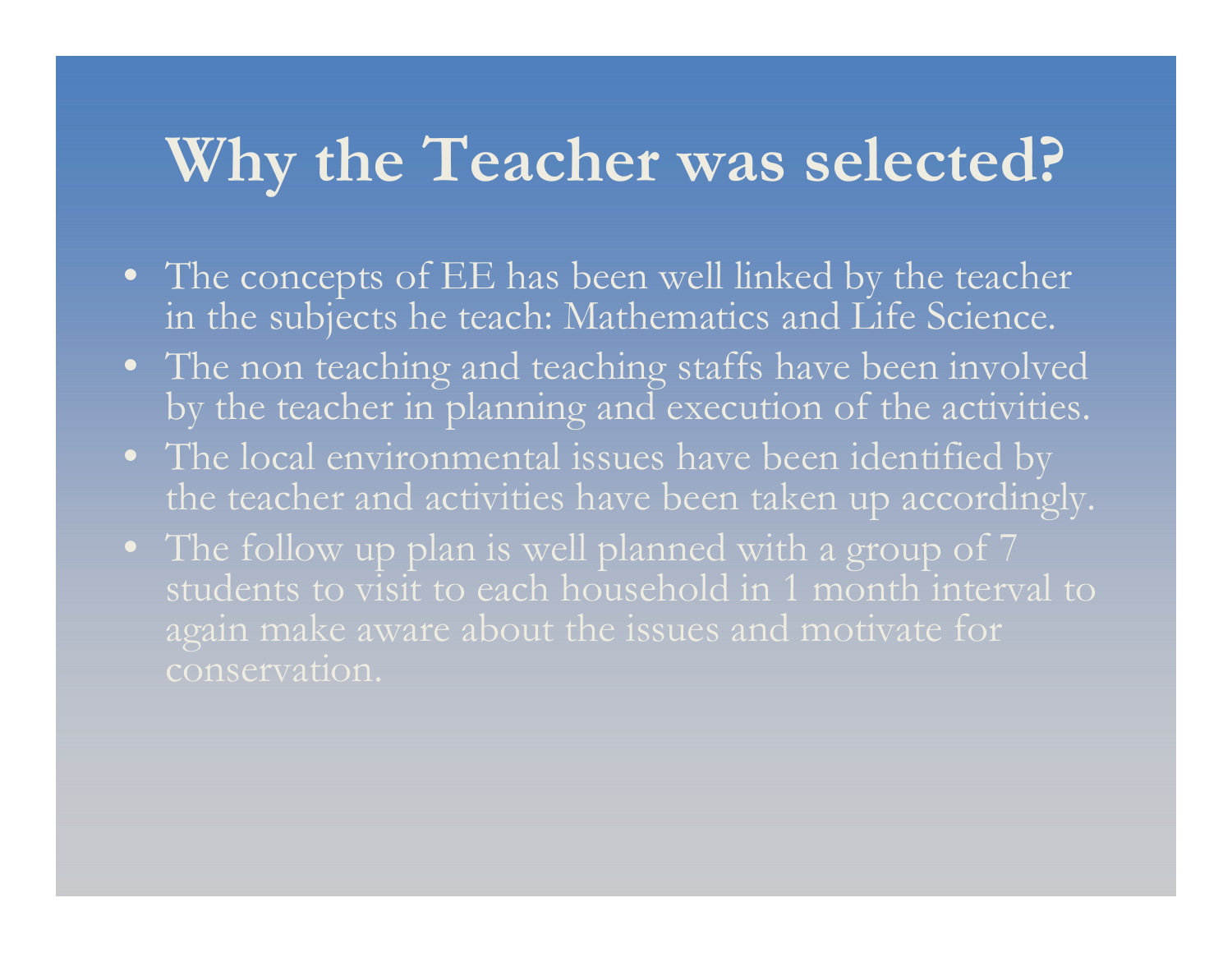### **Why the Teacher was selected?**

- The concepts of EE has been well linked by the teacher in the subjects he teach: Mathematics and Life Science.
- The non teaching and teaching staffs have been involved by the teacher in planning and execution of the activities.
- The local environmental issues have been identified by the teacher and activities have been taken up accordingly.
- The follow up plan is well planned with a group of 7 students to visit to each household in 1 month interval to